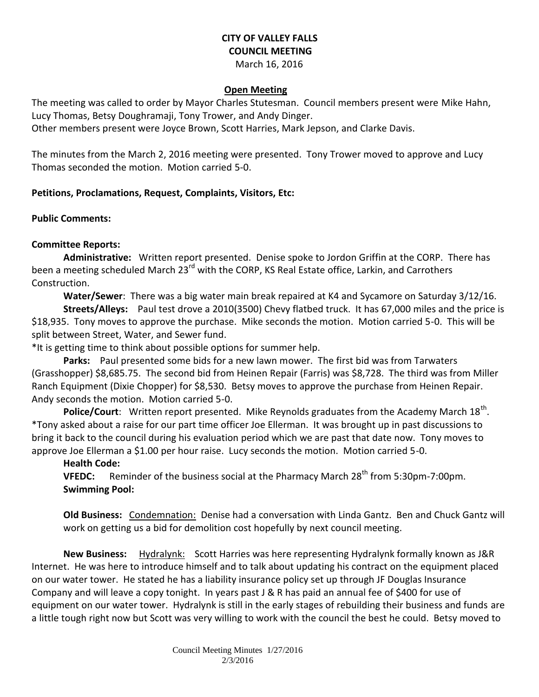# **CITY OF VALLEY FALLS COUNCIL MEETING**

March 16, 2016

### **Open Meeting**

The meeting was called to order by Mayor Charles Stutesman. Council members present were Mike Hahn, Lucy Thomas, Betsy Doughramaji, Tony Trower, and Andy Dinger.

Other members present were Joyce Brown, Scott Harries, Mark Jepson, and Clarke Davis.

The minutes from the March 2, 2016 meeting were presented. Tony Trower moved to approve and Lucy Thomas seconded the motion. Motion carried 5-0.

## **Petitions, Proclamations, Request, Complaints, Visitors, Etc:**

#### **Public Comments:**

## **Committee Reports:**

**Administrative:** Written report presented. Denise spoke to Jordon Griffin at the CORP. There has been a meeting scheduled March 23<sup>rd</sup> with the CORP, KS Real Estate office, Larkin, and Carrothers Construction.

**Water/Sewer**: There was a big water main break repaired at K4 and Sycamore on Saturday 3/12/16.

**Streets/Alleys:** Paul test drove a 2010(3500) Chevy flatbed truck. It has 67,000 miles and the price is \$18,935. Tony moves to approve the purchase. Mike seconds the motion. Motion carried 5-0. This will be split between Street, Water, and Sewer fund.

\*It is getting time to think about possible options for summer help.

**Parks:** Paul presented some bids for a new lawn mower. The first bid was from Tarwaters (Grasshopper) \$8,685.75. The second bid from Heinen Repair (Farris) was \$8,728. The third was from Miller Ranch Equipment (Dixie Chopper) for \$8,530. Betsy moves to approve the purchase from Heinen Repair. Andy seconds the motion. Motion carried 5-0.

Police/Court: Written report presented. Mike Reynolds graduates from the Academy March 18<sup>th</sup>. \*Tony asked about a raise for our part time officer Joe Ellerman. It was brought up in past discussions to bring it back to the council during his evaluation period which we are past that date now. Tony moves to approve Joe Ellerman a \$1.00 per hour raise. Lucy seconds the motion. Motion carried 5-0.

## **Health Code:**

**VFEDC:** Reminder of the business social at the Pharmacy March 28<sup>th</sup> from 5:30pm-7:00pm. **Swimming Pool:** 

**Old Business:** Condemnation: Denise had a conversation with Linda Gantz. Ben and Chuck Gantz will work on getting us a bid for demolition cost hopefully by next council meeting.

**New Business:** Hydralynk: Scott Harries was here representing Hydralynk formally known as J&R Internet. He was here to introduce himself and to talk about updating his contract on the equipment placed on our water tower. He stated he has a liability insurance policy set up through JF Douglas Insurance Company and will leave a copy tonight. In years past J & R has paid an annual fee of \$400 for use of equipment on our water tower. Hydralynk is still in the early stages of rebuilding their business and funds are a little tough right now but Scott was very willing to work with the council the best he could. Betsy moved to